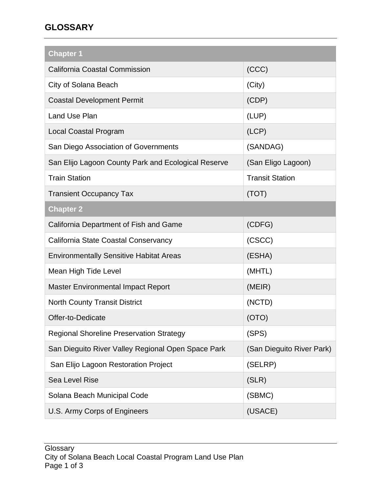## **GLOSSARY**

| <b>Chapter 1</b>                                    |                           |  |
|-----------------------------------------------------|---------------------------|--|
| <b>California Coastal Commission</b>                | (CCC)                     |  |
| City of Solana Beach                                | (City)                    |  |
| <b>Coastal Development Permit</b>                   | (CDP)                     |  |
| Land Use Plan                                       | (LUP)                     |  |
| <b>Local Coastal Program</b>                        | (LCP)                     |  |
| San Diego Association of Governments                | (SANDAG)                  |  |
| San Elijo Lagoon County Park and Ecological Reserve | (San Eligo Lagoon)        |  |
| <b>Train Station</b>                                | <b>Transit Station</b>    |  |
| <b>Transient Occupancy Tax</b>                      | (TOT)                     |  |
| <b>Chapter 2</b>                                    |                           |  |
| California Department of Fish and Game              | (CDFG)                    |  |
| California State Coastal Conservancy                | (CSCC)                    |  |
| <b>Environmentally Sensitive Habitat Areas</b>      | (ESHA)                    |  |
| Mean High Tide Level                                | (MHTL)                    |  |
| <b>Master Environmental Impact Report</b>           | (MEIR)                    |  |
| <b>North County Transit District</b>                | (NCTD)                    |  |
| Offer-to-Dedicate                                   | (OTO)                     |  |
| <b>Regional Shoreline Preservation Strategy</b>     | (SPS)                     |  |
| San Dieguito River Valley Regional Open Space Park  | (San Dieguito River Park) |  |
| San Elijo Lagoon Restoration Project                | (SELRP)                   |  |
| Sea Level Rise                                      | (SLR)                     |  |
| Solana Beach Municipal Code                         | (SBMC)                    |  |
| U.S. Army Corps of Engineers                        | (USACE)                   |  |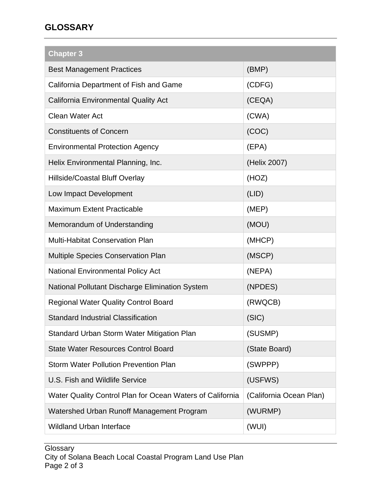## **GLOSSARY**

| <b>Chapter 3</b>                                          |                         |
|-----------------------------------------------------------|-------------------------|
| <b>Best Management Practices</b>                          | (BMP)                   |
| California Department of Fish and Game                    | (CDFG)                  |
| <b>California Environmental Quality Act</b>               | (CEQA)                  |
| <b>Clean Water Act</b>                                    | (CWA)                   |
| <b>Constituents of Concern</b>                            | (COC)                   |
| <b>Environmental Protection Agency</b>                    | (EPA)                   |
| Helix Environmental Planning, Inc.                        | (Helix 2007)            |
| <b>Hillside/Coastal Bluff Overlay</b>                     | (HOZ)                   |
| Low Impact Development                                    | (LID)                   |
| <b>Maximum Extent Practicable</b>                         | (MEP)                   |
| Memorandum of Understanding                               | (MOU)                   |
| <b>Multi-Habitat Conservation Plan</b>                    | (MHCP)                  |
| Multiple Species Conservation Plan                        | (MSCP)                  |
| <b>National Environmental Policy Act</b>                  | (NEPA)                  |
| National Pollutant Discharge Elimination System           | (NPDES)                 |
| <b>Regional Water Quality Control Board</b>               | (RWQCB)                 |
| <b>Standard Industrial Classification</b>                 | (SIC)                   |
| Standard Urban Storm Water Mitigation Plan                | (SUSMP)                 |
| <b>State Water Resources Control Board</b>                | (State Board)           |
| <b>Storm Water Pollution Prevention Plan</b>              | (SWPPP)                 |
| U.S. Fish and Wildlife Service                            | (USFWS)                 |
| Water Quality Control Plan for Ocean Waters of California | (California Ocean Plan) |
| Watershed Urban Runoff Management Program                 | (WURMP)                 |
| <b>Wildland Urban Interface</b>                           | (WUI)                   |